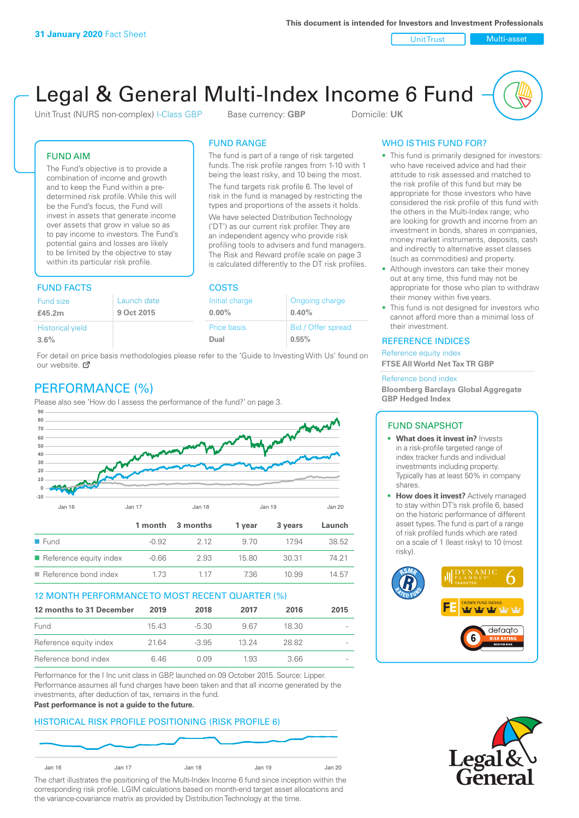Unit Trust Nulti-asset

# Legal & General Multi-Index Income 6 Fund

Unit Trust (NURS non-complex) I-Class GBP Base currency: **GBP** Domicile: UK

The fund is part of a range of risk targeted funds. The risk profile ranges from 1-10 with 1 being the least risky, and 10 being the most. The fund targets risk profile 6. The level of risk in the fund is managed by restricting the types and proportions of the assets it holds. We have selected Distribution Technology ('DT') as our current risk profiler. They are an independent agency who provide risk profiling tools to advisers and fund managers. The Risk and Reward profile scale on page 3 is calculated differently to the DT risk profiles.

FUND RANGE

FUND AIM

The Fund's objective is to provide a combination of income and growth and to keep the Fund within a predetermined risk profile. While this will be the Fund's focus, the Fund will invest in assets that generate income over assets that grow in value so as to pay income to investors. The Fund's potential gains and losses are likely to be limited by the objective to stay within its particular risk profile.

# FUND FACTS COSTS

| Launch date<br>Fund size |             | Ongoing charge     |  |  |
|--------------------------|-------------|--------------------|--|--|
| 9 Oct 2015               | $0.00\%$    | 0.40%              |  |  |
|                          | Price basis | Bid / Offer spread |  |  |
|                          | Dual        | 0.55%              |  |  |
|                          |             | Initial charge     |  |  |

For detail on price basis methodologies please refer to the 'Guide to Investing With Us' found on our website. Ø

# PERFORMANCE (%)

Please also see 'How do I assess the performance of the fund?' on page 3.



# 12 MONTH PERFORMANCE TO MOST RECENT QUARTER (%)

| 12 months to 31 December | 2019  | 2018    | 2017  | 2016  | 2015                     |
|--------------------------|-------|---------|-------|-------|--------------------------|
| Fund                     | 15.43 | -5.30   | 967   | 18.30 |                          |
| Reference equity index   | 2164  | $-3.95$ | 13.24 | 28.82 | $\overline{\phantom{a}}$ |
| Reference bond index     | 646   | O 0.9   | 1.93  | 3.66  | $\overline{\phantom{a}}$ |

Performance for the I Inc unit class in GBP, launched on 09 October 2015. Source: Lipper. Performance assumes all fund charges have been taken and that all income generated by the investments, after deduction of tax, remains in the fund.

#### **Past performance is not a guide to the future.**

# HISTORICAL RISK PROFILE POSITIONING (RISK PROFILE 6)



The chart illustrates the positioning of the Multi-Index Income 6 fund since inception within the corresponding risk profile. LGIM calculations based on month-end target asset allocations and the variance-covariance matrix as provided by Distribution Technology at the time.

# WHO IS THIS FUND FOR?

- This fund is primarily designed for investors: who have received advice and had their attitude to risk assessed and matched to the risk profile of this fund but may be appropriate for those investors who have considered the risk profile of this fund with the others in the Multi-Index range; who are looking for growth and income from an investment in bonds, shares in companies, money market instruments, deposits, cash and indirectly to alternative asset classes (such as commodities) and property.
- Although investors can take their money out at any time, this fund may not be appropriate for those who plan to withdraw their money within five years.
- This fund is not designed for investors who cannot afford more than a minimal loss of their investment.

# REFERENCE INDICES

Reference equity index **FTSE All World Net Tax TR GBP**

#### Reference bond index

**Bloomberg Barclays Global Aggregate GBP Hedged Index**

### FUND SNAPSHOT

- **• What does it invest in?** Invests in a risk-profile targeted range of index tracker funds and individual investments including property. Typically has at least 50% in company shares.
- **• How does it invest?** Actively managed to stay within DT's risk profile 6, based on the historic performance of different asset types. The fund is part of a range of risk profiled funds which are rated on a scale of 1 (least risky) to 10 (most risky).



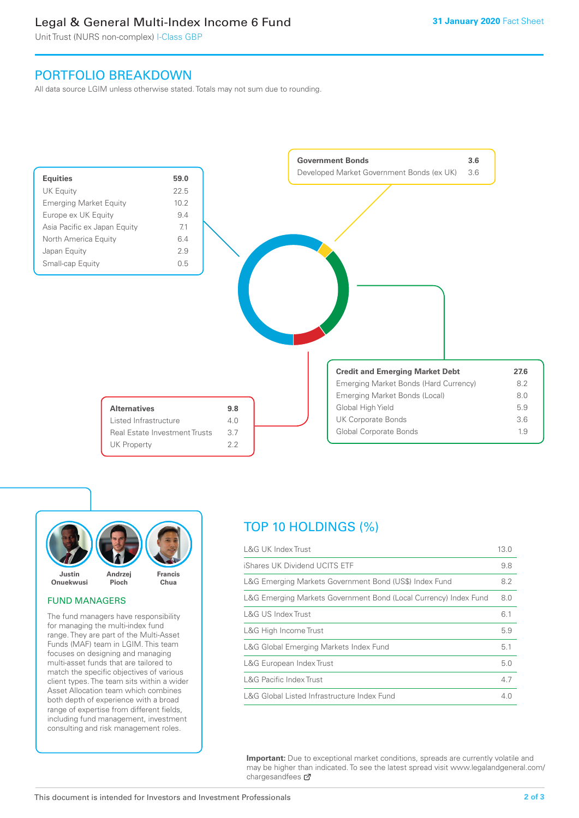# Legal & General Multi-Index Income 6 Fund

Unit Trust (NURS non-complex) I-Class GBP

# PORTFOLIO BREAKDOWN

All data source LGIM unless otherwise stated. Totals may not sum due to rounding.





# FUND MANAGERS

The fund managers have responsibility for managing the multi-index fund range. They are part of the Multi-Asset Funds (MAF) team in LGIM. This team focuses on designing and managing multi-asset funds that are tailored to match the specific objectives of various client types. The team sits within a wider Asset Allocation team which combines both depth of experience with a broad range of expertise from different fields, including fund management, investment consulting and risk management roles.

# TOP 10 HOLDINGS (%)

| <b>L&amp;G UK Index Trust</b>                                    | 13.0 |
|------------------------------------------------------------------|------|
| iShares UK Dividend UCITS ETF                                    | 9.8  |
| L&G Emerging Markets Government Bond (US\$) Index Fund           | 8.2  |
| L&G Emerging Markets Government Bond (Local Currency) Index Fund | 8.0  |
| L&G US Index Trust                                               | 6.1  |
| L&G High Income Trust                                            | 5.9  |
| L&G Global Emerging Markets Index Fund                           | 5.1  |
| L&G European Index Trust                                         | 5.0  |
| <b>L&amp;G Pacific Index Trust</b>                               | 4.7  |
| L&G Global Listed Infrastructure Index Fund                      | 4.0  |

**Important:** Due to exceptional market conditions, spreads are currently volatile and may be higher than indicated. To see the latest spread visit www.legalandgeneral.com/ chargesandfees Ø